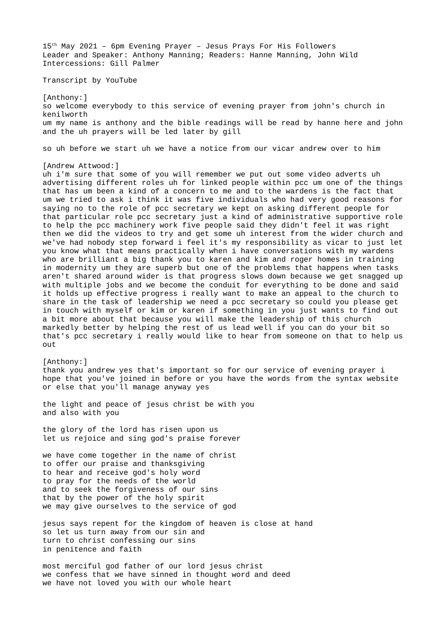15th May 2021 – 6pm Evening Prayer – Jesus Prays For His Followers Leader and Speaker: Anthony Manning; Readers: Hanne Manning, John Wild Intercessions: Gill Palmer

Transcript by YouTube

[Anthony:] so welcome everybody to this service of evening prayer from john's church in kenilworth um my name is anthony and the bible readings will be read by hanne here and john and the uh prayers will be led later by gill

so uh before we start uh we have a notice from our vicar andrew over to him

[Andrew Attwood:]

uh i'm sure that some of you will remember we put out some video adverts uh advertising different roles uh for linked people within pcc um one of the things that has um been a kind of a concern to me and to the wardens is the fact that um we tried to ask i think it was five individuals who had very good reasons for saying no to the role of pcc secretary we kept on asking different people for that particular role pcc secretary just a kind of administrative supportive role to help the pcc machinery work five people said they didn't feel it was right then we did the videos to try and get some uh interest from the wider church and we've had nobody step forward i feel it's my responsibility as vicar to just let you know what that means practically when i have conversations with my wardens who are brilliant a big thank you to karen and kim and roger homes in training in modernity um they are superb but one of the problems that happens when tasks aren't shared around wider is that progress slows down because we get snagged up with multiple jobs and we become the conduit for everything to be done and said it holds up effective progress i really want to make an appeal to the church to share in the task of leadership we need a pcc secretary so could you please get in touch with myself or kim or karen if something in you just wants to find out a bit more about that because you will make the leadership of this church markedly better by helping the rest of us lead well if you can do your bit so that's pcc secretary i really would like to hear from someone on that to help us out

[Anthony:] thank you andrew yes that's important so for our service of evening prayer i hope that you've joined in before or you have the words from the syntax website or else that you'll manage anyway yes

the light and peace of jesus christ be with you and also with you

the glory of the lord has risen upon us let us rejoice and sing god's praise forever

we have come together in the name of christ to offer our praise and thanksgiving to hear and receive god's holy word to pray for the needs of the world and to seek the forgiveness of our sins that by the power of the holy spirit we may give ourselves to the service of god

jesus says repent for the kingdom of heaven is close at hand so let us turn away from our sin and turn to christ confessing our sins in penitence and faith

most merciful god father of our lord jesus christ we confess that we have sinned in thought word and deed we have not loved you with our whole heart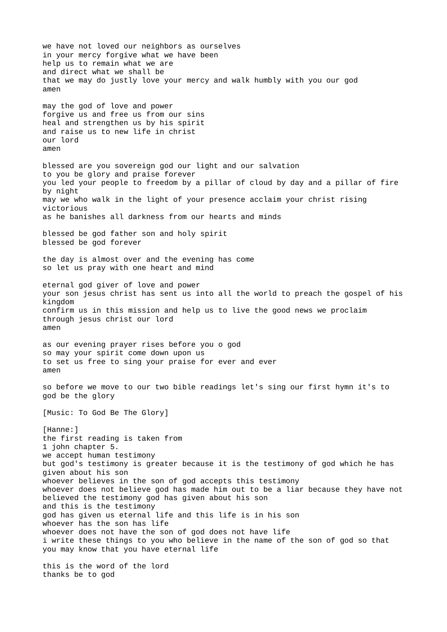we have not loved our neighbors as ourselves in your mercy forgive what we have been help us to remain what we are and direct what we shall be that we may do justly love your mercy and walk humbly with you our god amen may the god of love and power forgive us and free us from our sins heal and strengthen us by his spirit and raise us to new life in christ our lord amen blessed are you sovereign god our light and our salvation to you be glory and praise forever you led your people to freedom by a pillar of cloud by day and a pillar of fire by night may we who walk in the light of your presence acclaim your christ rising victorious as he banishes all darkness from our hearts and minds blessed be god father son and holy spirit blessed be god forever the day is almost over and the evening has come so let us pray with one heart and mind eternal god giver of love and power your son jesus christ has sent us into all the world to preach the gospel of his kingdom confirm us in this mission and help us to live the good news we proclaim through jesus christ our lord amen as our evening prayer rises before you o god so may your spirit come down upon us to set us free to sing your praise for ever and ever amen so before we move to our two bible readings let's sing our first hymn it's to god be the glory [Music: To God Be The Glory] [Hanne:] the first reading is taken from 1 john chapter 5. we accept human testimony but god's testimony is greater because it is the testimony of god which he has given about his son whoever believes in the son of god accepts this testimony whoever does not believe god has made him out to be a liar because they have not believed the testimony god has given about his son and this is the testimony god has given us eternal life and this life is in his son whoever has the son has life whoever does not have the son of god does not have life i write these things to you who believe in the name of the son of god so that you may know that you have eternal life this is the word of the lord thanks be to god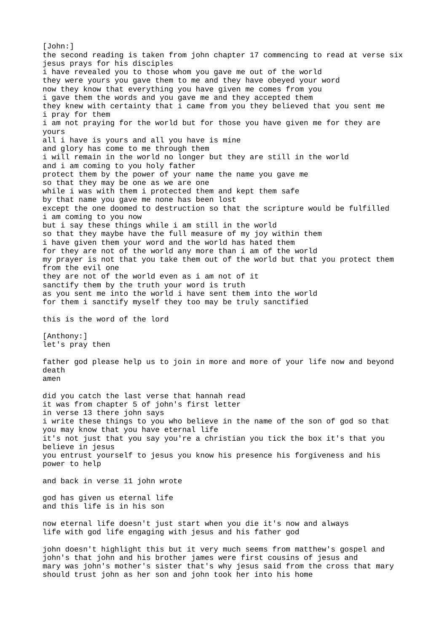[John:] the second reading is taken from john chapter 17 commencing to read at verse six jesus prays for his disciples i have revealed you to those whom you gave me out of the world they were yours you gave them to me and they have obeyed your word now they know that everything you have given me comes from you i gave them the words and you gave me and they accepted them they knew with certainty that i came from you they believed that you sent me i pray for them i am not praying for the world but for those you have given me for they are yours all i have is yours and all you have is mine and glory has come to me through them i will remain in the world no longer but they are still in the world and i am coming to you holy father protect them by the power of your name the name you gave me so that they may be one as we are one while i was with them i protected them and kept them safe by that name you gave me none has been lost except the one doomed to destruction so that the scripture would be fulfilled i am coming to you now but i say these things while i am still in the world so that they maybe have the full measure of my joy within them i have given them your word and the world has hated them for they are not of the world any more than i am of the world my prayer is not that you take them out of the world but that you protect them from the evil one they are not of the world even as i am not of it sanctify them by the truth your word is truth as you sent me into the world i have sent them into the world for them i sanctify myself they too may be truly sanctified this is the word of the lord [Anthony:] let's pray then father god please help us to join in more and more of your life now and beyond death amen did you catch the last verse that hannah read it was from chapter 5 of john's first letter in verse 13 there john says i write these things to you who believe in the name of the son of god so that you may know that you have eternal life it's not just that you say you're a christian you tick the box it's that you believe in jesus you entrust yourself to jesus you know his presence his forgiveness and his power to help and back in verse 11 john wrote god has given us eternal life and this life is in his son now eternal life doesn't just start when you die it's now and always life with god life engaging with jesus and his father god john doesn't highlight this but it very much seems from matthew's gospel and john's that john and his brother james were first cousins of jesus and mary was john's mother's sister that's why jesus said from the cross that mary should trust john as her son and john took her into his home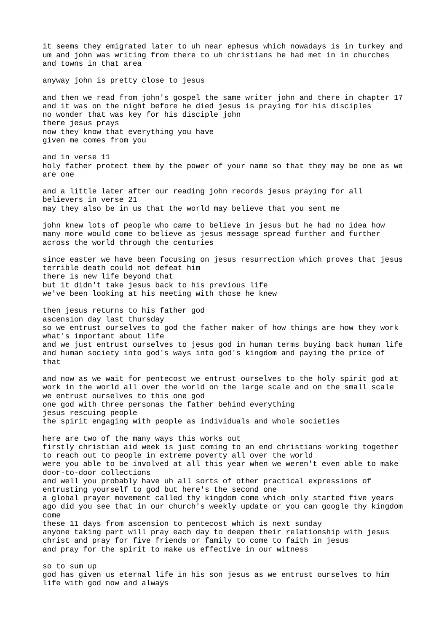it seems they emigrated later to uh near ephesus which nowadays is in turkey and um and john was writing from there to uh christians he had met in in churches and towns in that area anyway john is pretty close to jesus and then we read from john's gospel the same writer john and there in chapter 17 and it was on the night before he died jesus is praying for his disciples no wonder that was key for his disciple john there jesus prays now they know that everything you have given me comes from you and in verse 11 holy father protect them by the power of your name so that they may be one as we are one and a little later after our reading john records jesus praying for all believers in verse 21 may they also be in us that the world may believe that you sent me john knew lots of people who came to believe in jesus but he had no idea how many more would come to believe as jesus message spread further and further across the world through the centuries since easter we have been focusing on jesus resurrection which proves that jesus terrible death could not defeat him there is new life beyond that but it didn't take jesus back to his previous life we've been looking at his meeting with those he knew then jesus returns to his father god ascension day last thursday so we entrust ourselves to god the father maker of how things are how they work what's important about life and we just entrust ourselves to jesus god in human terms buying back human life and human society into god's ways into god's kingdom and paying the price of that and now as we wait for pentecost we entrust ourselves to the holy spirit god at work in the world all over the world on the large scale and on the small scale we entrust ourselves to this one god one god with three personas the father behind everything jesus rescuing people the spirit engaging with people as individuals and whole societies here are two of the many ways this works out firstly christian aid week is just coming to an end christians working together to reach out to people in extreme poverty all over the world were you able to be involved at all this year when we weren't even able to make door-to-door collections and well you probably have uh all sorts of other practical expressions of entrusting yourself to god but here's the second one a global prayer movement called thy kingdom come which only started five years ago did you see that in our church's weekly update or you can google thy kingdom come these 11 days from ascension to pentecost which is next sunday anyone taking part will pray each day to deepen their relationship with jesus christ and pray for five friends or family to come to faith in jesus and pray for the spirit to make us effective in our witness so to sum up god has given us eternal life in his son jesus as we entrust ourselves to him life with god now and always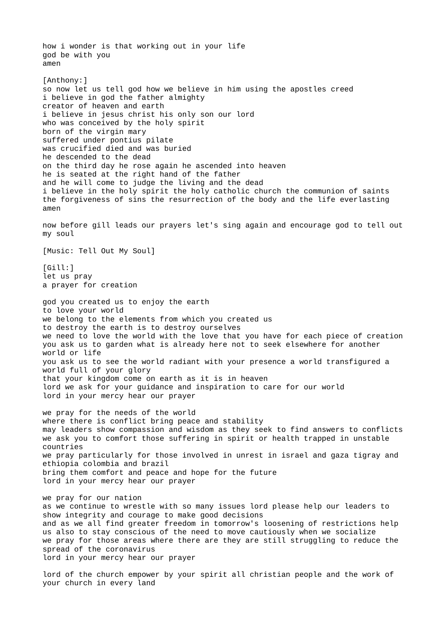how i wonder is that working out in your life god be with you amen [Anthony:] so now let us tell god how we believe in him using the apostles creed i believe in god the father almighty creator of heaven and earth i believe in jesus christ his only son our lord who was conceived by the holy spirit born of the virgin mary suffered under pontius pilate was crucified died and was buried he descended to the dead on the third day he rose again he ascended into heaven he is seated at the right hand of the father and he will come to judge the living and the dead i believe in the holy spirit the holy catholic church the communion of saints the forgiveness of sins the resurrection of the body and the life everlasting amen now before gill leads our prayers let's sing again and encourage god to tell out my soul [Music: Tell Out My Soul] [Gill:] let us pray a prayer for creation god you created us to enjoy the earth to love your world we belong to the elements from which you created us to destroy the earth is to destroy ourselves we need to love the world with the love that you have for each piece of creation you ask us to garden what is already here not to seek elsewhere for another world or life you ask us to see the world radiant with your presence a world transfigured a world full of your glory that your kingdom come on earth as it is in heaven lord we ask for your guidance and inspiration to care for our world lord in your mercy hear our prayer we pray for the needs of the world where there is conflict bring peace and stability may leaders show compassion and wisdom as they seek to find answers to conflicts we ask you to comfort those suffering in spirit or health trapped in unstable countries we pray particularly for those involved in unrest in israel and gaza tigray and ethiopia colombia and brazil bring them comfort and peace and hope for the future lord in your mercy hear our prayer we pray for our nation as we continue to wrestle with so many issues lord please help our leaders to show integrity and courage to make good decisions and as we all find greater freedom in tomorrow's loosening of restrictions help us also to stay conscious of the need to move cautiously when we socialize we pray for those areas where there are they are still struggling to reduce the spread of the coronavirus lord in your mercy hear our prayer

lord of the church empower by your spirit all christian people and the work of your church in every land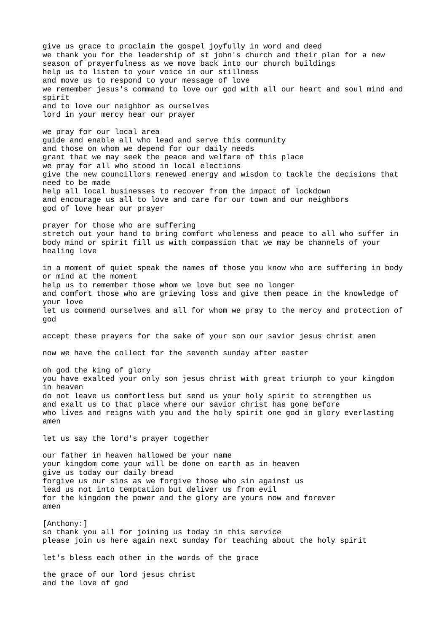give us grace to proclaim the gospel joyfully in word and deed we thank you for the leadership of st john's church and their plan for a new season of prayerfulness as we move back into our church buildings help us to listen to your voice in our stillness and move us to respond to your message of love we remember jesus's command to love our god with all our heart and soul mind and spirit and to love our neighbor as ourselves lord in your mercy hear our prayer we pray for our local area guide and enable all who lead and serve this community and those on whom we depend for our daily needs grant that we may seek the peace and welfare of this place we pray for all who stood in local elections give the new councillors renewed energy and wisdom to tackle the decisions that need to be made help all local businesses to recover from the impact of lockdown and encourage us all to love and care for our town and our neighbors god of love hear our prayer prayer for those who are suffering stretch out your hand to bring comfort wholeness and peace to all who suffer in body mind or spirit fill us with compassion that we may be channels of your healing love in a moment of quiet speak the names of those you know who are suffering in body or mind at the moment help us to remember those whom we love but see no longer and comfort those who are grieving loss and give them peace in the knowledge of your love let us commend ourselves and all for whom we pray to the mercy and protection of god accept these prayers for the sake of your son our savior jesus christ amen now we have the collect for the seventh sunday after easter oh god the king of glory you have exalted your only son jesus christ with great triumph to your kingdom in heaven do not leave us comfortless but send us your holy spirit to strengthen us and exalt us to that place where our savior christ has gone before who lives and reigns with you and the holy spirit one god in glory everlasting amen let us say the lord's prayer together our father in heaven hallowed be your name your kingdom come your will be done on earth as in heaven give us today our daily bread forgive us our sins as we forgive those who sin against us lead us not into temptation but deliver us from evil for the kingdom the power and the glory are yours now and forever amen [Anthony:] so thank you all for joining us today in this service please join us here again next sunday for teaching about the holy spirit let's bless each other in the words of the grace the grace of our lord jesus christ and the love of god